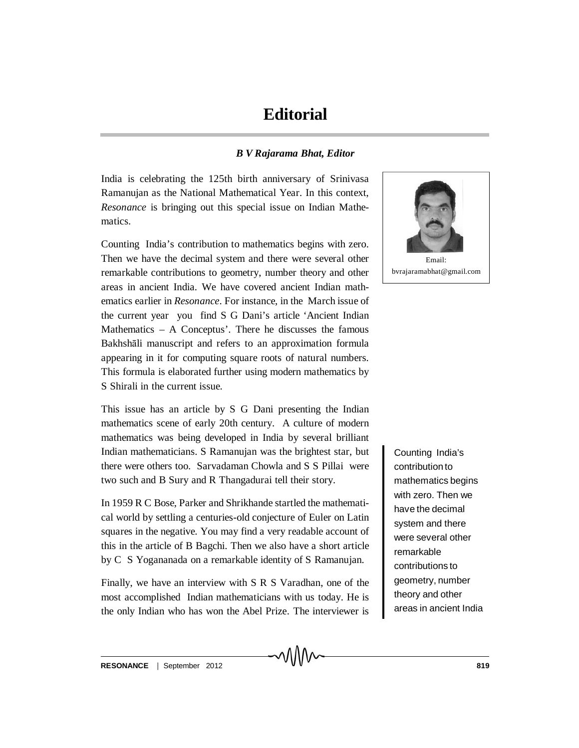## **Editorial**

## *B V Rajarama Bhat, Editor*

India is celebrating the 125th birth anniversary of Srinivasa Ramanujan as the National Mathematical Year. In this context, *Resonance* is bringing out this special issue on Indian Mathematics.

Counting India's contribution to mathematics begins with zero. Then we have the decimal system and there were several other remarkable contributions to geometry, number theory and other areas in ancient India. We have covered ancient Indian mathematics earlier in *Resonance*. For instance, in the March issue of the current year you find S G Dani's article 'Ancient Indian Mathematics – A Conceptus'. There he discusses the famous Bakhshāli manuscript and refers to an approximation formula appearing in it for computing square roots of natural numbers. This formula is elaborated further using modern mathematics by S Shirali in the current issue.

This issue has an article by S G Dani presenting the Indian mathematics scene of early 20th century. A culture of modern mathematics was being developed in India by several brilliant Indian mathematicians. S Ramanujan was the brightest star, but there were others too. Sarvadaman Chowla and S S Pillai were two such and B Sury and R Thangadurai tell their story.

In 1959 R C Bose, Parker and Shrikhande startled the mathematical world by settling a centuries-old conjecture of Euler on Latin squares in the negative. You may find a very readable account of this in the article of B Bagchi. Then we also have a short article by C S Yogananada on a remarkable identity of S Ramanujan.

Finally, we have an interview with S R S Varadhan, one of the most accomplished Indian mathematicians with us today. He is the only Indian who has won the Abel Prize. The interviewer is



Counting India's contribution to mathematics begins with zero. Then we have the decimal system and there were several other remarkable contributions to geometry, number theory and other areas in ancient India